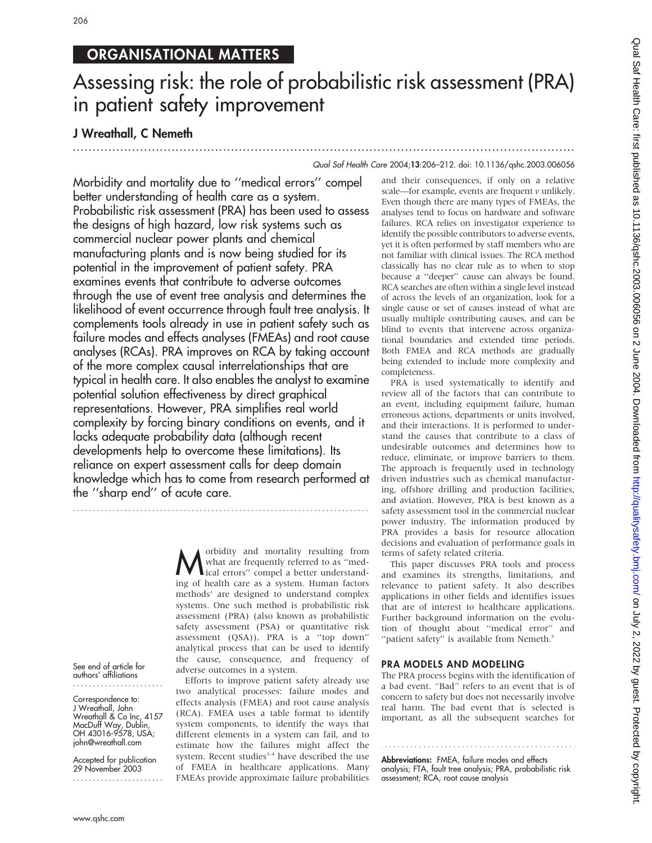# ORGANISATIONAL MATTERS

# Assessing risk: the role of probabilistic risk assessment (PRA) in patient safety improvement

### J Wreathall, C Nemeth

### Qual Saf Health Care 2004;13:206–212. doi: 10.1136/qshc.2003.006056

Morbidity and mortality due to ''medical errors'' compel better understanding of health care as a system. Probabilistic risk assessment (PRA) has been used to assess the designs of high hazard, low risk systems such as commercial nuclear power plants and chemical manufacturing plants and is now being studied for its potential in the improvement of patient safety. PRA examines events that contribute to adverse outcomes through the use of event tree analysis and determines the likelihood of event occurrence through fault tree analysis. It complements tools already in use in patient safety such as failure modes and effects analyses (FMEAs) and root cause analyses (RCAs). PRA improves on RCA by taking account of the more complex causal interrelationships that are typical in health care. It also enables the analyst to examine potential solution effectiveness by direct graphical representations. However, PRA simplifies real world complexity by forcing binary conditions on events, and it lacks adequate probability data (although recent developments help to overcome these limitations). Its reliance on expert assessment calls for deep domain knowledge which has to come from research performed at the ''sharp end'' of acute care.

...........................................................................

...............................................................................................................................

**M** orbidity and mortality resulting from<br>
what are frequently referred to as "med-<br>
ical errors" compel a better understandwhat are frequently referred to as ''medlical errors" compel a better understanding of health care as a system. Human factors  $methods<sup>1</sup>$  are designed to understand complex systems. One such method is probabilistic risk assessment (PRA) (also known as probabilistic safety assessment (PSA) or quantitative risk assessment (QSA)). PRA is a ''top down'' analytical process that can be used to identify the cause, consequence, and frequency of adverse outcomes in a system.

Efforts to improve patient safety already use two analytical processes: failure modes and effects analysis (FMEA) and root cause analysis (RCA). FMEA uses a table format to identify system components, to identify the ways that different elements in a system can fail, and to estimate how the failures might affect the system. Recent studies $2-4$  have described the use of FMEA in healthcare applications. Many FMEAs provide approximate failure probabilities and their consequences, if only on a relative scale—for example, events are frequent  $\nu$  unlikely. Even though there are many types of FMEAs, the analyses tend to focus on hardware and software failures. RCA relies on investigator experience to identify the possible contributors to adverse events, yet it is often performed by staff members who are not familiar with clinical issues. The RCA method classically has no clear rule as to when to stop because a ''deeper'' cause can always be found. RCA searches are often within a single level instead of across the levels of an organization, look for a single cause or set of causes instead of what are usually multiple contributing causes, and can be blind to events that intervene across organizational boundaries and extended time periods. Both FMEA and RCA methods are gradually being extended to include more complexity and completeness.

PRA is used systematically to identify and review all of the factors that can contribute to an event, including equipment failure, human erroneous actions, departments or units involved, and their interactions. It is performed to understand the causes that contribute to a class of undesirable outcomes and determines how to reduce, eliminate, or improve barriers to them. The approach is frequently used in technology driven industries such as chemical manufacturing, offshore drilling and production facilities, and aviation. However, PRA is best known as a safety assessment tool in the commercial nuclear power industry. The information produced by PRA provides a basis for resource allocation decisions and evaluation of performance goals in terms of safety related criteria.

This paper discusses PRA tools and process and examines its strengths, limitations, and relevance to patient safety. It also describes applications in other fields and identifies issues that are of interest to healthcare applications. Further background information on the evolution of thought about ''medical error'' and "patient safety" is available from Nemeth.<sup>5</sup>

### PRA MODELS AND MODELING

The PRA process begins with the identification of a bad event. ''Bad'' refers to an event that is of concern to safety but does not necessarily involve real harm. The bad event that is selected is important, as all the subsequent searches for

Abbreviations: FMEA, failure modes and effects analysis; FTA, fault tree analysis; PRA, probabilistic risk assessment; RCA, root cause analysis

See end of article for authors' affiliations .......................

Correspondence to: J Wreathall, John Wreathall & Co Inc, 4157 MacDuff Way, Dublin, OH 43016-9578, USA; john@wreathall.com

Accepted for publication 29 November 2003 .......................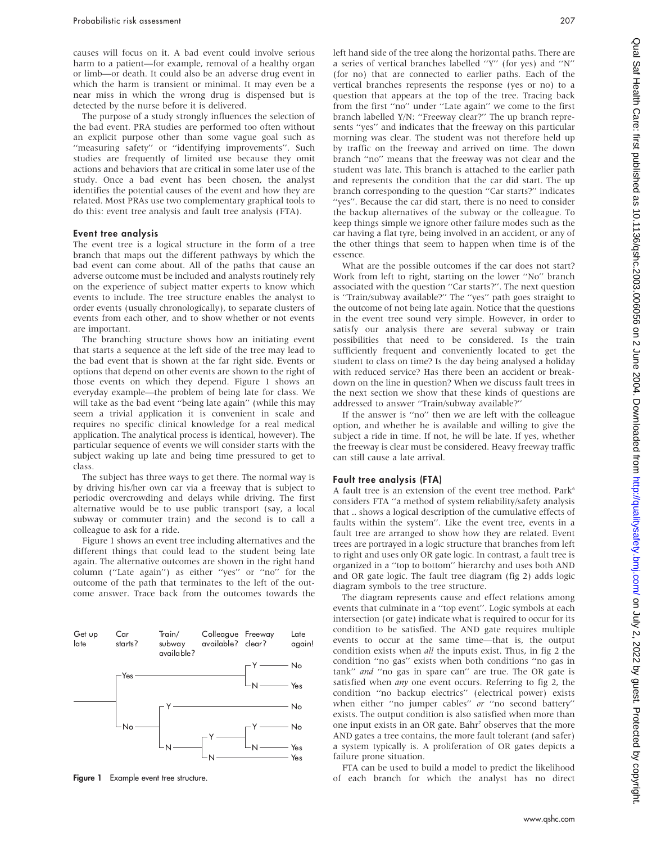causes will focus on it. A bad event could involve serious harm to a patient—for example, removal of a healthy organ or limb—or death. It could also be an adverse drug event in which the harm is transient or minimal. It may even be a near miss in which the wrong drug is dispensed but is detected by the nurse before it is delivered.

The purpose of a study strongly influences the selection of the bad event. PRA studies are performed too often without an explicit purpose other than some vague goal such as ''measuring safety'' or ''identifying improvements''. Such studies are frequently of limited use because they omit actions and behaviors that are critical in some later use of the study. Once a bad event has been chosen, the analyst identifies the potential causes of the event and how they are related. Most PRAs use two complementary graphical tools to do this: event tree analysis and fault tree analysis (FTA).

### Event tree analysis

The event tree is a logical structure in the form of a tree branch that maps out the different pathways by which the bad event can come about. All of the paths that cause an adverse outcome must be included and analysts routinely rely on the experience of subject matter experts to know which events to include. The tree structure enables the analyst to order events (usually chronologically), to separate clusters of events from each other, and to show whether or not events are important.

The branching structure shows how an initiating event that starts a sequence at the left side of the tree may lead to the bad event that is shown at the far right side. Events or options that depend on other events are shown to the right of those events on which they depend. Figure 1 shows an everyday example—the problem of being late for class. We will take as the bad event ''being late again'' (while this may seem a trivial application it is convenient in scale and requires no specific clinical knowledge for a real medical application. The analytical process is identical, however). The particular sequence of events we will consider starts with the subject waking up late and being time pressured to get to class.

The subject has three ways to get there. The normal way is by driving his/her own car via a freeway that is subject to periodic overcrowding and delays while driving. The first alternative would be to use public transport (say, a local subway or commuter train) and the second is to call a colleague to ask for a ride.

Figure 1 shows an event tree including alternatives and the different things that could lead to the student being late again. The alternative outcomes are shown in the right hand column (''Late again'') as either ''yes'' or ''no'' for the outcome of the path that terminates to the left of the outcome answer. Trace back from the outcomes towards the



Figure 1 Example event tree structure.

left hand side of the tree along the horizontal paths. There are a series of vertical branches labelled ''Y'' (for yes) and ''N'' (for no) that are connected to earlier paths. Each of the vertical branches represents the response (yes or no) to a question that appears at the top of the tree. Tracing back from the first ''no'' under ''Late again'' we come to the first branch labelled Y/N: ''Freeway clear?'' The up branch represents ''yes'' and indicates that the freeway on this particular morning was clear. The student was not therefore held up by traffic on the freeway and arrived on time. The down branch ''no'' means that the freeway was not clear and the student was late. This branch is attached to the earlier path and represents the condition that the car did start. The up branch corresponding to the question ''Car starts?'' indicates "yes". Because the car did start, there is no need to consider the backup alternatives of the subway or the colleague. To keep things simple we ignore other failure modes such as the car having a flat tyre, being involved in an accident, or any of the other things that seem to happen when time is of the essence.

What are the possible outcomes if the car does not start? Work from left to right, starting on the lower ''No'' branch associated with the question ''Car starts?''. The next question is ''Train/subway available?'' The ''yes'' path goes straight to the outcome of not being late again. Notice that the questions in the event tree sound very simple. However, in order to satisfy our analysis there are several subway or train possibilities that need to be considered. Is the train sufficiently frequent and conveniently located to get the student to class on time? Is the day being analysed a holiday with reduced service? Has there been an accident or breakdown on the line in question? When we discuss fault trees in the next section we show that these kinds of questions are addressed to answer ''Train/subway available?''

If the answer is ''no'' then we are left with the colleague option, and whether he is available and willing to give the subject a ride in time. If not, he will be late. If yes, whether the freeway is clear must be considered. Heavy freeway traffic can still cause a late arrival.

### Fault tree analysis (FTA)

A fault tree is an extension of the event tree method. Park<sup>6</sup> considers FTA ''a method of system reliability/safety analysis that .. shows a logical description of the cumulative effects of faults within the system''. Like the event tree, events in a fault tree are arranged to show how they are related. Event trees are portrayed in a logic structure that branches from left to right and uses only OR gate logic. In contrast, a fault tree is organized in a ''top to bottom'' hierarchy and uses both AND and OR gate logic. The fault tree diagram (fig 2) adds logic diagram symbols to the tree structure.

The diagram represents cause and effect relations among events that culminate in a ''top event''. Logic symbols at each intersection (or gate) indicate what is required to occur for its condition to be satisfied. The AND gate requires multiple events to occur at the same time—that is, the output condition exists when all the inputs exist. Thus, in fig 2 the condition ''no gas'' exists when both conditions ''no gas in tank'' and ''no gas in spare can'' are true. The OR gate is satisfied when any one event occurs. Referring to fig 2, the condition ''no backup electrics'' (electrical power) exists when either ''no jumper cables'' or ''no second battery'' exists. The output condition is also satisfied when more than one input exists in an OR gate. Bahr<sup>7</sup> observes that the more AND gates a tree contains, the more fault tolerant (and safer) a system typically is. A proliferation of OR gates depicts a failure prone situation.

FTA can be used to build a model to predict the likelihood of each branch for which the analyst has no direct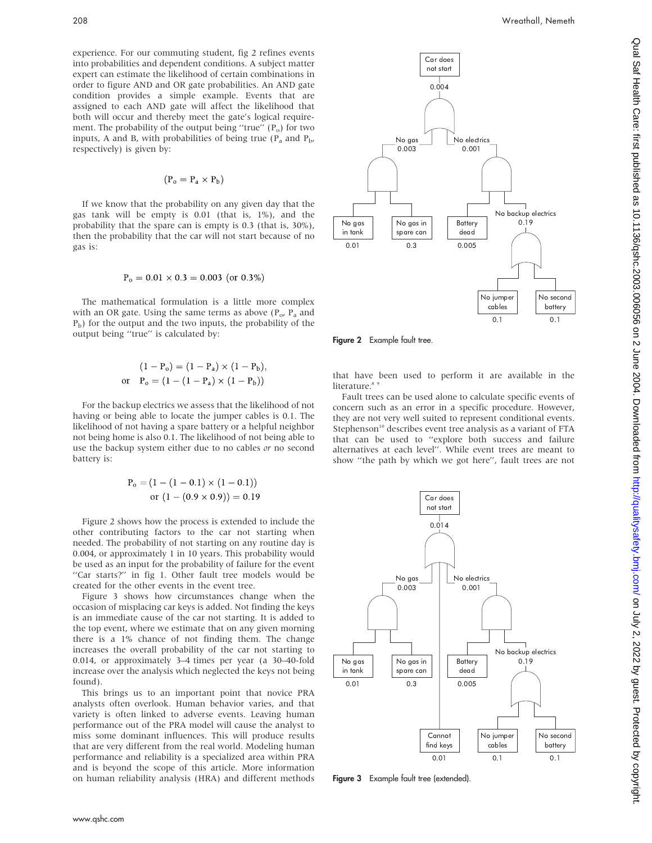experience. For our commuting student, fig 2 refines events into probabilities and dependent conditions. A subject matter expert can estimate the likelihood of certain combinations in order to figure AND and OR gate probabilities. An AND gate condition provides a simple example. Events that are assigned to each AND gate will affect the likelihood that both will occur and thereby meet the gate's logical requirement. The probability of the output being "true"  $(P<sub>o</sub>)$  for two inputs, A and B, with probabilities of being true  $(P_a$  and  $P_b$ , respectively) is given by:

$$
(P_o = P_a \times P_b)
$$

If we know that the probability on any given day that the gas tank will be empty is 0.01 (that is, 1%), and the probability that the spare can is empty is 0.3 (that is, 30%), then the probability that the car will not start because of no gas is:

$$
P_0 = 0.01 \times 0.3 = 0.003
$$
 (or 0.3%)

The mathematical formulation is a little more complex with an OR gate. Using the same terms as above  $(P_0, P_a$  and  $P<sub>b</sub>$ ) for the output and the two inputs, the probability of the output being ''true'' is calculated by:

$$
(1 - P_0) = (1 - P_a) \times (1 - P_b),
$$
  
or  $P_0 = (1 - (1 - P_a) \times (1 - P_b))$ 

For the backup electrics we assess that the likelihood of not having or being able to locate the jumper cables is 0.1. The likelihood of not having a spare battery or a helpful neighbor not being home is also 0.1. The likelihood of not being able to use the backup system either due to no cables or no second battery is:

$$
P_o = (1 - (1 - 0.1) \times (1 - 0.1))
$$
  
or  $(1 - (0.9 \times 0.9)) = 0.19$ 

Figure 2 shows how the process is extended to include the other contributing factors to the car not starting when needed. The probability of not starting on any routine day is 0.004, or approximately 1 in 10 years. This probability would be used as an input for the probability of failure for the event ''Car starts?'' in fig 1. Other fault tree models would be created for the other events in the event tree.

Figure 3 shows how circumstances change when the occasion of misplacing car keys is added. Not finding the keys is an immediate cause of the car not starting. It is added to the top event, where we estimate that on any given morning there is a 1% chance of not finding them. The change increases the overall probability of the car not starting to 0.014, or approximately 3–4 times per year (a 30–40-fold increase over the analysis which neglected the keys not being found).

This brings us to an important point that novice PRA analysts often overlook. Human behavior varies, and that variety is often linked to adverse events. Leaving human performance out of the PRA model will cause the analyst to miss some dominant influences. This will produce results that are very different from the real world. Modeling human performance and reliability is a specialized area within PRA and is beyond the scope of this article. More information on human reliability analysis (HRA) and different methods



Figure 2 Example fault tree.

that have been used to perform it are available in the literature<sup>8</sup>

Fault trees can be used alone to calculate specific events of concern such as an error in a specific procedure. However, they are not very well suited to represent conditional events. Stephenson<sup>10</sup> describes event tree analysis as a variant of FTA that can be used to ''explore both success and failure alternatives at each level''. While event trees are meant to show ''the path by which we got here'', fault trees are not



Figure 3 Example fault tree (extended).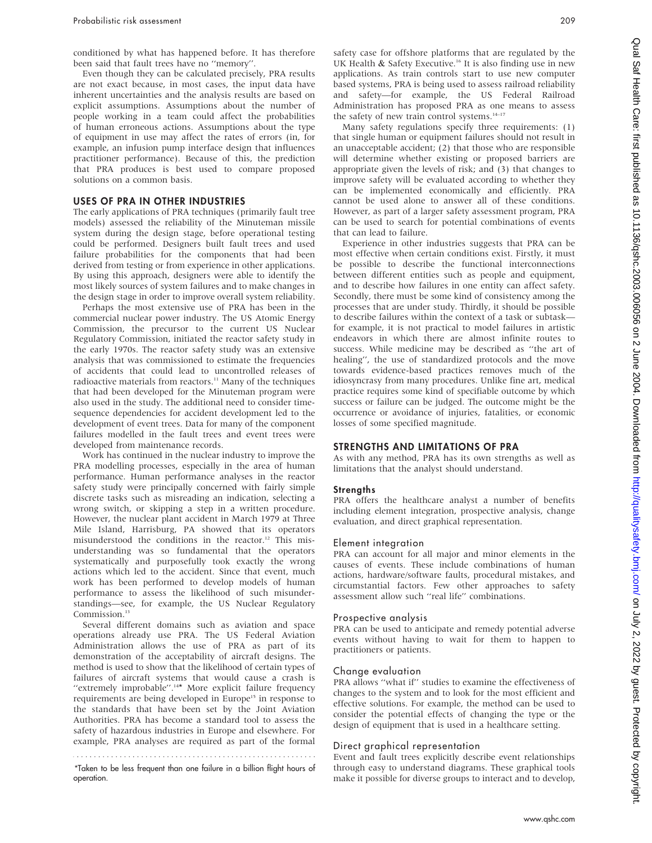conditioned by what has happened before. It has therefore been said that fault trees have no ''memory''.

Even though they can be calculated precisely, PRA results are not exact because, in most cases, the input data have inherent uncertainties and the analysis results are based on explicit assumptions. Assumptions about the number of people working in a team could affect the probabilities of human erroneous actions. Assumptions about the type of equipment in use may affect the rates of errors (in, for example, an infusion pump interface design that influences practitioner performance). Because of this, the prediction that PRA produces is best used to compare proposed solutions on a common basis.

### USES OF PRA IN OTHER INDUSTRIES

The early applications of PRA techniques (primarily fault tree models) assessed the reliability of the Minuteman missile system during the design stage, before operational testing could be performed. Designers built fault trees and used failure probabilities for the components that had been derived from testing or from experience in other applications. By using this approach, designers were able to identify the most likely sources of system failures and to make changes in the design stage in order to improve overall system reliability.

Perhaps the most extensive use of PRA has been in the commercial nuclear power industry. The US Atomic Energy Commission, the precursor to the current US Nuclear Regulatory Commission, initiated the reactor safety study in the early 1970s. The reactor safety study was an extensive analysis that was commissioned to estimate the frequencies of accidents that could lead to uncontrolled releases of radioactive materials from reactors.<sup>11</sup> Many of the techniques that had been developed for the Minuteman program were also used in the study. The additional need to consider timesequence dependencies for accident development led to the development of event trees. Data for many of the component failures modelled in the fault trees and event trees were developed from maintenance records.

Work has continued in the nuclear industry to improve the PRA modelling processes, especially in the area of human performance. Human performance analyses in the reactor safety study were principally concerned with fairly simple discrete tasks such as misreading an indication, selecting a wrong switch, or skipping a step in a written procedure. However, the nuclear plant accident in March 1979 at Three Mile Island, Harrisburg, PA showed that its operators misunderstood the conditions in the reactor.<sup>12</sup> This misunderstanding was so fundamental that the operators systematically and purposefully took exactly the wrong actions which led to the accident. Since that event, much work has been performed to develop models of human performance to assess the likelihood of such misunderstandings—see, for example, the US Nuclear Regulatory Commission.<sup>13</sup>

Several different domains such as aviation and space operations already use PRA. The US Federal Aviation Administration allows the use of PRA as part of its demonstration of the acceptability of aircraft designs. The method is used to show that the likelihood of certain types of failures of aircraft systems that would cause a crash is "extremely improbable".<sup>14\*</sup> More explicit failure frequency requirements are being developed in Europe<sup>15</sup> in response to the standards that have been set by the Joint Aviation Authorities. PRA has become a standard tool to assess the safety of hazardous industries in Europe and elsewhere. For example, PRA analyses are required as part of the formal

\*Taken to be less frequent than one failure in a billion flight hours of operation.

safety case for offshore platforms that are regulated by the UK Health & Safety Executive.<sup>16</sup> It is also finding use in new applications. As train controls start to use new computer based systems, PRA is being used to assess railroad reliability and safety—for example, the US Federal Railroad Administration has proposed PRA as one means to assess the safety of new train control systems.<sup>14-17</sup>

Many safety regulations specify three requirements: (1) that single human or equipment failures should not result in an unacceptable accident; (2) that those who are responsible will determine whether existing or proposed barriers are appropriate given the levels of risk; and (3) that changes to improve safety will be evaluated according to whether they can be implemented economically and efficiently. PRA cannot be used alone to answer all of these conditions. However, as part of a larger safety assessment program, PRA can be used to search for potential combinations of events that can lead to failure.

Experience in other industries suggests that PRA can be most effective when certain conditions exist. Firstly, it must be possible to describe the functional interconnections between different entities such as people and equipment, and to describe how failures in one entity can affect safety. Secondly, there must be some kind of consistency among the processes that are under study. Thirdly, it should be possible to describe failures within the context of a task or subtask for example, it is not practical to model failures in artistic endeavors in which there are almost infinite routes to success. While medicine may be described as ''the art of healing'', the use of standardized protocols and the move towards evidence-based practices removes much of the idiosyncrasy from many procedures. Unlike fine art, medical practice requires some kind of specifiable outcome by which success or failure can be judged. The outcome might be the occurrence or avoidance of injuries, fatalities, or economic losses of some specified magnitude.

### STRENGTHS AND LIMITATIONS OF PRA

As with any method, PRA has its own strengths as well as limitations that the analyst should understand.

#### **Strengths**

PRA offers the healthcare analyst a number of benefits including element integration, prospective analysis, change evaluation, and direct graphical representation.

#### Element integration

PRA can account for all major and minor elements in the causes of events. These include combinations of human actions, hardware/software faults, procedural mistakes, and circumstantial factors. Few other approaches to safety assessment allow such ''real life'' combinations.

#### Prospective analysis

PRA can be used to anticipate and remedy potential adverse events without having to wait for them to happen to practitioners or patients.

#### Change evaluation

PRA allows ''what if'' studies to examine the effectiveness of changes to the system and to look for the most efficient and effective solutions. For example, the method can be used to consider the potential effects of changing the type or the design of equipment that is used in a healthcare setting.

#### Direct graphical representation

Event and fault trees explicitly describe event relationships through easy to understand diagrams. These graphical tools make it possible for diverse groups to interact and to develop,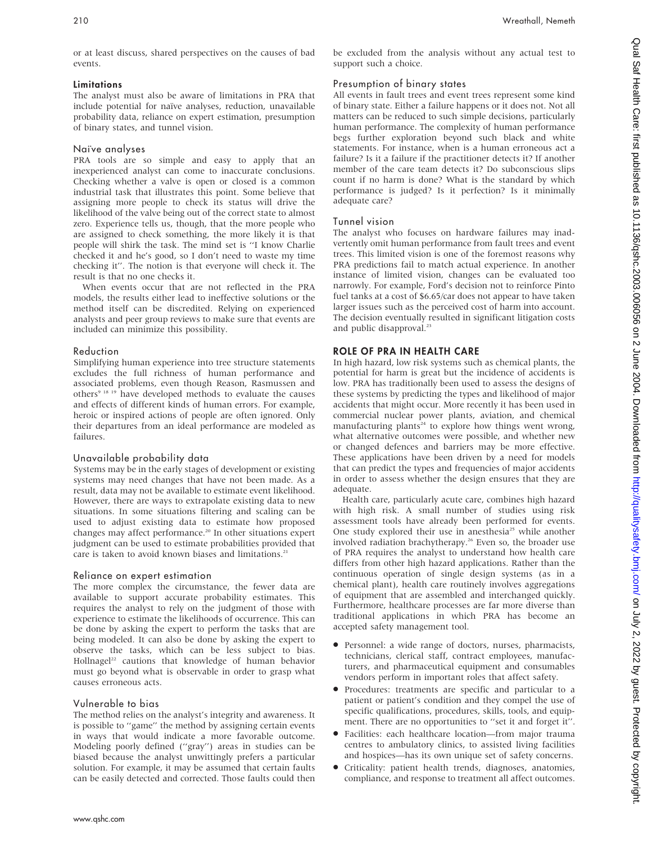or at least discuss, shared perspectives on the causes of bad events.

### **Limitations**

The analyst must also be aware of limitations in PRA that include potential for naïve analyses, reduction, unavailable probability data, reliance on expert estimation, presumption of binary states, and tunnel vision.

### Naı¨ve analyses

PRA tools are so simple and easy to apply that an inexperienced analyst can come to inaccurate conclusions. Checking whether a valve is open or closed is a common industrial task that illustrates this point. Some believe that assigning more people to check its status will drive the likelihood of the valve being out of the correct state to almost zero. Experience tells us, though, that the more people who are assigned to check something, the more likely it is that people will shirk the task. The mind set is ''I know Charlie checked it and he's good, so I don't need to waste my time checking it''. The notion is that everyone will check it. The result is that no one checks it.

When events occur that are not reflected in the PRA models, the results either lead to ineffective solutions or the method itself can be discredited. Relying on experienced analysts and peer group reviews to make sure that events are included can minimize this possibility.

### Reduction

Simplifying human experience into tree structure statements excludes the full richness of human performance and associated problems, even though Reason, Rasmussen and others<sup>9 18 19</sup> have developed methods to evaluate the causes and effects of different kinds of human errors. For example, heroic or inspired actions of people are often ignored. Only their departures from an ideal performance are modeled as failures.

### Unavailable probability data

Systems may be in the early stages of development or existing systems may need changes that have not been made. As a result, data may not be available to estimate event likelihood. However, there are ways to extrapolate existing data to new situations. In some situations filtering and scaling can be used to adjust existing data to estimate how proposed changes may affect performance.<sup>20</sup> In other situations expert judgment can be used to estimate probabilities provided that care is taken to avoid known biases and limitations.<sup>21</sup>

### Reliance on expert estimation

The more complex the circumstance, the fewer data are available to support accurate probability estimates. This requires the analyst to rely on the judgment of those with experience to estimate the likelihoods of occurrence. This can be done by asking the expert to perform the tasks that are being modeled. It can also be done by asking the expert to observe the tasks, which can be less subject to bias. Hollnagel<sup>22</sup> cautions that knowledge of human behavior must go beyond what is observable in order to grasp what causes erroneous acts.

# Vulnerable to bias

The method relies on the analyst's integrity and awareness. It is possible to "game" the method by assigning certain events in ways that would indicate a more favorable outcome. Modeling poorly defined (''gray'') areas in studies can be biased because the analyst unwittingly prefers a particular solution. For example, it may be assumed that certain faults can be easily detected and corrected. Those faults could then be excluded from the analysis without any actual test to support such a choice.

# Presumption of binary states

All events in fault trees and event trees represent some kind of binary state. Either a failure happens or it does not. Not all matters can be reduced to such simple decisions, particularly human performance. The complexity of human performance begs further exploration beyond such black and white statements. For instance, when is a human erroneous act a failure? Is it a failure if the practitioner detects it? If another member of the care team detects it? Do subconscious slips count if no harm is done? What is the standard by which performance is judged? Is it perfection? Is it minimally adequate care?

### Tunnel vision

The analyst who focuses on hardware failures may inadvertently omit human performance from fault trees and event trees. This limited vision is one of the foremost reasons why PRA predictions fail to match actual experience. In another instance of limited vision, changes can be evaluated too narrowly. For example, Ford's decision not to reinforce Pinto fuel tanks at a cost of \$6.65/car does not appear to have taken larger issues such as the perceived cost of harm into account. The decision eventually resulted in significant litigation costs and public disapproval.<sup>23</sup>

# ROLE OF PRA IN HEALTH CARE

In high hazard, low risk systems such as chemical plants, the potential for harm is great but the incidence of accidents is low. PRA has traditionally been used to assess the designs of these systems by predicting the types and likelihood of major accidents that might occur. More recently it has been used in commercial nuclear power plants, aviation, and chemical manufacturing plants<sup>24</sup> to explore how things went wrong, what alternative outcomes were possible, and whether new or changed defences and barriers may be more effective. These applications have been driven by a need for models that can predict the types and frequencies of major accidents in order to assess whether the design ensures that they are adequate.

Health care, particularly acute care, combines high hazard with high risk. A small number of studies using risk assessment tools have already been performed for events. One study explored their use in anesthesia<sup>25</sup> while another involved radiation brachytherapy.<sup>26</sup> Even so, the broader use of PRA requires the analyst to understand how health care differs from other high hazard applications. Rather than the continuous operation of single design systems (as in a chemical plant), health care routinely involves aggregations of equipment that are assembled and interchanged quickly. Furthermore, healthcare processes are far more diverse than traditional applications in which PRA has become an accepted safety management tool.

- N Personnel: a wide range of doctors, nurses, pharmacists, technicians, clerical staff, contract employees, manufacturers, and pharmaceutical equipment and consumables vendors perform in important roles that affect safety.
- N Procedures: treatments are specific and particular to a patient or patient's condition and they compel the use of specific qualifications, procedures, skills, tools, and equipment. There are no opportunities to "set it and forget it".
- N Facilities: each healthcare location—from major trauma centres to ambulatory clinics, to assisted living facilities and hospices—has its own unique set of safety concerns.
- N Criticality: patient health trends, diagnoses, anatomies, compliance, and response to treatment all affect outcomes.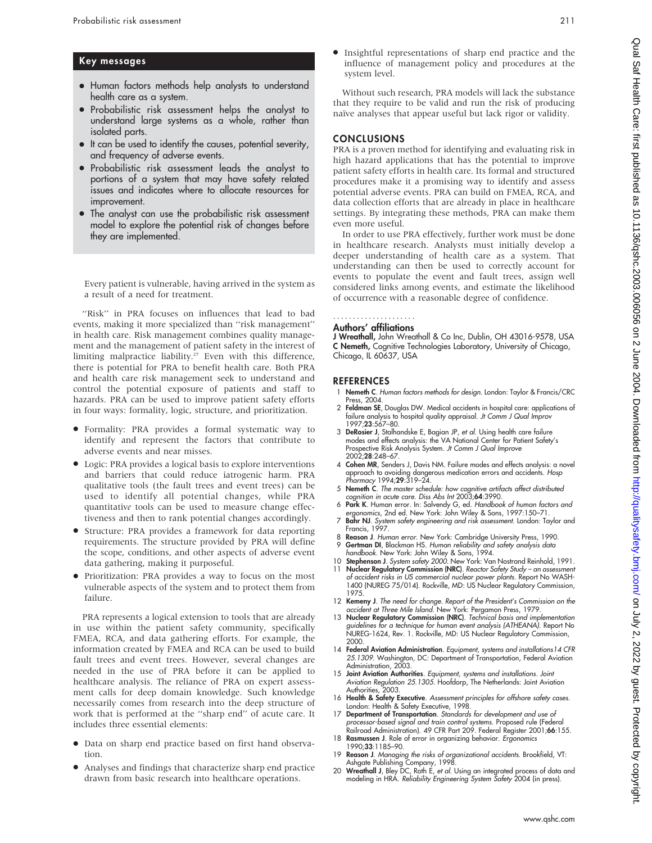### Key messages

- Human factors methods help analysts to understand health care as a system.
- Probabilistic risk assessment helps the analyst to understand large systems as a whole, rather than isolated parts.
- It can be used to identify the causes, potential severity, and frequency of adverse events.
- Probabilistic risk assessment leads the analyst to portions of a system that may have safety related issues and indicates where to allocate resources for improvement.
- The analyst can use the probabilistic risk assessment model to explore the potential risk of changes before they are implemented.

Every patient is vulnerable, having arrived in the system as a result of a need for treatment.

"Risk" in PRA focuses on influences that lead to bad events, making it more specialized than ''risk management'' in health care. Risk management combines quality management and the management of patient safety in the interest of limiting malpractice liability.<sup>27</sup> Even with this difference, there is potential for PRA to benefit health care. Both PRA and health care risk management seek to understand and control the potential exposure of patients and staff to hazards. PRA can be used to improve patient safety efforts in four ways: formality, logic, structure, and prioritization.

- N Formality: PRA provides a formal systematic way to identify and represent the factors that contribute to adverse events and near misses.
- Logic: PRA provides a logical basis to explore interventions and barriers that could reduce iatrogenic harm. PRA qualitative tools (the fault trees and event trees) can be used to identify all potential changes, while PRA quantitative tools can be used to measure change effectiveness and then to rank potential changes accordingly.
- Structure: PRA provides a framework for data reporting requirements. The structure provided by PRA will define the scope, conditions, and other aspects of adverse event data gathering, making it purposeful.
- Prioritization: PRA provides a way to focus on the most vulnerable aspects of the system and to protect them from failure.

PRA represents a logical extension to tools that are already in use within the patient safety community, specifically FMEA, RCA, and data gathering efforts. For example, the information created by FMEA and RCA can be used to build fault trees and event trees. However, several changes are needed in the use of PRA before it can be applied to healthcare analysis. The reliance of PRA on expert assessment calls for deep domain knowledge. Such knowledge necessarily comes from research into the deep structure of work that is performed at the ''sharp end'' of acute care. It includes three essential elements:

- N Data on sharp end practice based on first hand observation.
- N Analyses and findings that characterize sharp end practice drawn from basic research into healthcare operations.

N Insightful representations of sharp end practice and the influence of management policy and procedures at the system level.

Without such research, PRA models will lack the substance that they require to be valid and run the risk of producing naïve analyses that appear useful but lack rigor or validity.

### CONCLUSIONS

PRA is a proven method for identifying and evaluating risk in high hazard applications that has the potential to improve patient safety efforts in health care. Its formal and structured procedures make it a promising way to identify and assess potential adverse events. PRA can build on FMEA, RCA, and data collection efforts that are already in place in healthcare settings. By integrating these methods, PRA can make them even more useful.

In order to use PRA effectively, further work must be done in healthcare research. Analysts must initially develop a deeper understanding of health care as a system. That understanding can then be used to correctly account for events to populate the event and fault trees, assign well considered links among events, and estimate the likelihood of occurrence with a reasonable degree of confidence.

#### Authors' affiliations .....................

J Wreathall, John Wreathall & Co Inc, Dublin, OH 43016-9578, USA C Nemeth, Cognitive Technologies Laboratory, University of Chicago, Chicago, IL 60637, USA

#### REFERENCES

- 1 Nemeth C. Human factors methods for design. London: Taylor & Francis/CRC Press, 2004.
- 2 Feldman SE, Douglas DW. Medical accidents in hospital care: applications of failure analysis to hospital quality appraisal. Jt Comm J Qual Improv 1997;23:567–80.
- 3 DeRosier J, Stalhandske E, Bagian JP, et al. Using health care failure modes and effects analysis: the VA National Center for Patient Safety's Prospective Risk Analysis System. Jt Comm J Qual Improve 2002;28:248–67.
- 4 Cohen MR, Senders J, Davis NM. Failure modes and effects analysis: a novel approach to avoiding dangerous medication errors and accidents. Hosp Pharmacy 1994;29:319–24.
- 5 Nemeth C. The master schedule: how cognitive artifacts affect distributed cognition in acute care. Diss Abs Int 2003;64:3990.
- 6 Park K. Human error. In: Salvendy G, ed. Handbook of human factors and ergonomics, 2nd ed. New York: John Wiley & Sons, 1997:150–71.
- 7 Bahr NJ. System safety engineering and risk assessment. London: Taylor and Francis, 1997.
- 8 Reason J. Human error. New York: Cambridge University Press, 1990.
- 9 Gertman DI, Blackman HS. Human reliability and safety analysis data handbook. New York: John Wiley & Sons, 1994.
- 10 Stephenson J. System safety 2000. New York: Van Nostrand Reinhold, 1991.
- 11 Nuclear Regulatory Commission (NRC). Reactor Safety Study an assessment of accident risks in US commercial nuclear power plants. Report No WASH-1400 (NUREG 75/014). Rockville, MD: US Nuclear Regulatory Commission, 1975.
- 12 Kemeny J. The need for change. Report of the President's Commission on the accident at Three Mile Island. New York: Pergamon Press, 1979.
- 13 Nuclear Regulatory Commission (NRC). Technical basis and implementation guidelines for a technique for human event analysis (ATHEANA). Report No NUREG-1624, Rev. 1. Rockville, MD: US Nuclear Regulatory Commission, 2000.
- 14 Federal Aviation Administration. Equipment, systems and installations 14 CFR 25.1309. Washington, DC: Department of Transportation, Federal Aviation Administration, 2003.
- 15 Joint Aviation Authorities. Equipment, systems and installations. Joint Aviation Regulation 25.1305. Hoofdorp, The Netherlands: Joint Aviation Authorities, 2003.
- 16 Health & Safety Executive. Assessment principles for offshore safety cases. London: Health & Safety Executive, 1998.
- 17 Department of Transportation. Standards for development and use of processor-based signal and train control systems. Proposed rule (Federal<br>Railroad Administration). 49 CFR Part 209. Federal Register 2001;**66**:155.
- 18 Rasmussen J. Role of error in organizing behavior. Ergonomics 1990;33:1185–90.
- 
- 19 **Reason J**. *Managing the risks of organizational accidents*. Brookfield, VT:<br>Ashgate Publishing Company, 1998.<br>20 **Wreathall J**, Bley DC, Roth E, *et al.* Using an integrated process of data and<br>modeling in HRA. *Relia*